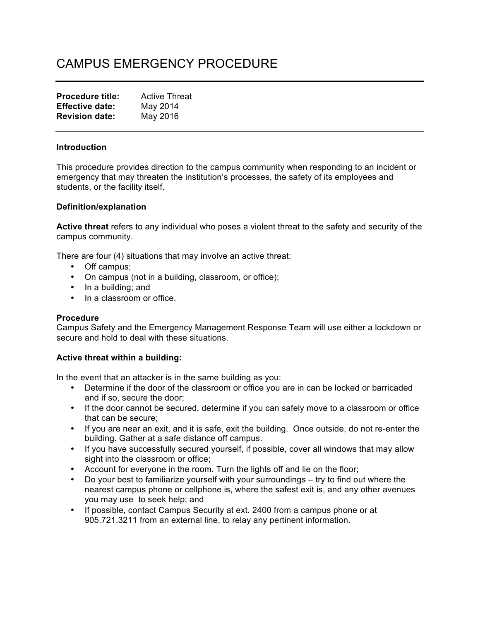# CAMPUS EMERGENCY PROCEDURE

| <b>Procedure title:</b> | <b>Active Threat</b> |
|-------------------------|----------------------|
| <b>Effective date:</b>  | May 2014             |
| <b>Revision date:</b>   | May 2016             |

### **Introduction**

This procedure provides direction to the campus community when responding to an incident or emergency that may threaten the institution's processes, the safety of its employees and students, or the facility itself.

#### **Definition/explanation**

**Active threat** refers to any individual who poses a violent threat to the safety and security of the campus community.

There are four (4) situations that may involve an active threat:

- Off campus;
- On campus (not in a building, classroom, or office);
- In a building; and
- In a classroom or office.

#### **Procedure**

Campus Safety and the Emergency Management Response Team will use either a lockdown or secure and hold to deal with these situations.

### **Active threat within a building:**

In the event that an attacker is in the same building as you:

- Determine if the door of the classroom or office you are in can be locked or barricaded and if so, secure the door;
- If the door cannot be secured, determine if you can safely move to a classroom or office that can be secure;
- If you are near an exit, and it is safe, exit the building. Once outside, do not re-enter the building. Gather at a safe distance off campus.
- If you have successfully secured yourself, if possible, cover all windows that may allow sight into the classroom or office;
- Account for everyone in the room. Turn the lights off and lie on the floor;
- Do your best to familiarize yourself with your surroundings try to find out where the nearest campus phone or cellphone is, where the safest exit is, and any other avenues you may use to seek help; and
- If possible, contact Campus Security at ext. 2400 from a campus phone or at 905.721.3211 from an external line, to relay any pertinent information.